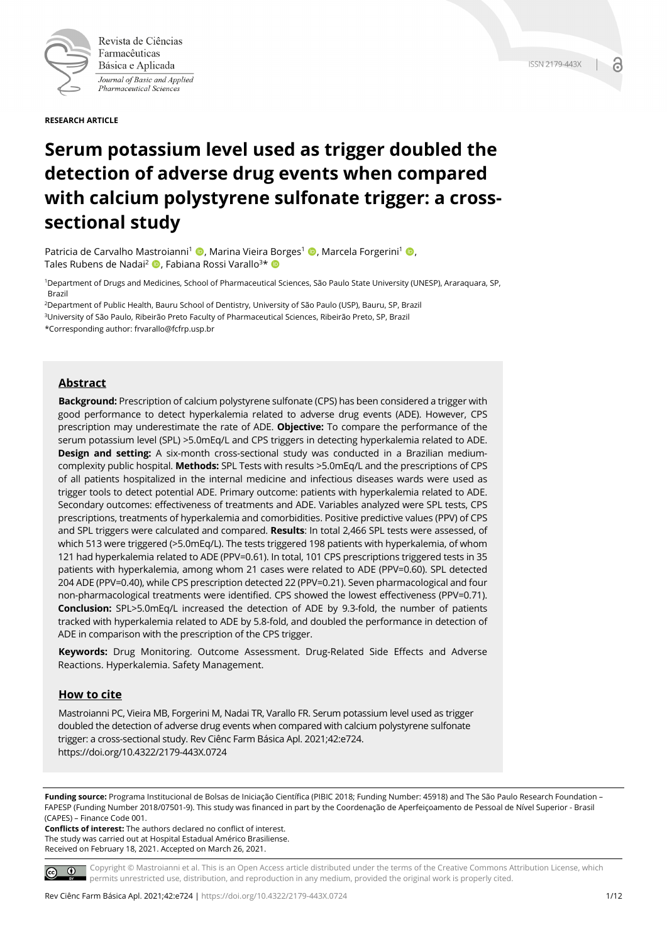

Revista de Ciências Farmacêuticas Básica e Aplicada Journal of Basic and Applied Pharmaceutical Sciences

**RESEARCH ARTICLE**

# **Serum potassium level used as trigger doubled the detection of adverse drug events when compared with calcium polystyrene sulfonate trigger: a crosssectional study**

Patricia de Carvalho Mastroianni<sup>1</sup> (D, Marina Vieira Borges<sup>1</sup> (D, Marcela Forgerini<sup>1</sup> (D, Tales Rubens de Nadai<sup>2</sup> **D**. Fabiana Rossi Varallo<sup>3\*</sup> D

1Department of Drugs and Medicines, School of Pharmaceutical Sciences, São Paulo State University (UNESP), Araraquara, SP, Brazil

2Department of Public Health, Bauru School of Dentistry, University of São Paulo (USP), Bauru, SP, Brazil 3University of São Paulo, Ribeirão Preto Faculty of Pharmaceutical Sciences, Ribeirão Preto, SP, Brazil \*Corresponding author: frvarallo@fcfrp.usp.br

# **Abstract**

**Background:** Prescription of calcium polystyrene sulfonate (CPS) has been considered a trigger with good performance to detect hyperkalemia related to adverse drug events (ADE). However, CPS prescription may underestimate the rate of ADE. **Objective:** To compare the performance of the serum potassium level (SPL) >5.0mEq/L and CPS triggers in detecting hyperkalemia related to ADE. **Design and setting:** A six-month cross-sectional study was conducted in a Brazilian mediumcomplexity public hospital. **Methods:** SPL Tests with results >5.0mEq/L and the prescriptions of CPS of all patients hospitalized in the internal medicine and infectious diseases wards were used as trigger tools to detect potential ADE. Primary outcome: patients with hyperkalemia related to ADE. Secondary outcomes: effectiveness of treatments and ADE. Variables analyzed were SPL tests, CPS prescriptions, treatments of hyperkalemia and comorbidities. Positive predictive values (PPV) of CPS and SPL triggers were calculated and compared. **Results**: In total 2,466 SPL tests were assessed, of which 513 were triggered (>5.0mEq/L). The tests triggered 198 patients with hyperkalemia, of whom 121 had hyperkalemia related to ADE (PPV=0.61). In total, 101 CPS prescriptions triggered tests in 35 patients with hyperkalemia, among whom 21 cases were related to ADE (PPV=0.60). SPL detected 204 ADE (PPV=0.40), while CPS prescription detected 22 (PPV=0.21). Seven pharmacological and four non-pharmacological treatments were identified. CPS showed the lowest effectiveness (PPV=0.71). **Conclusion:** SPL>5.0mEq/L increased the detection of ADE by 9.3-fold, the number of patients tracked with hyperkalemia related to ADE by 5.8-fold, and doubled the performance in detection of ADE in comparison with the prescription of the CPS trigger.

**Keywords:** Drug Monitoring. Outcome Assessment. Drug-Related Side Effects and Adverse Reactions. Hyperkalemia. Safety Management.

# **How to cite**

Mastroianni PC, Vieira MB, Forgerini M, Nadai TR, Varallo FR. Serum potassium level used as trigger doubled the detection of adverse drug events when compared with calcium polystyrene sulfonate trigger: a cross-sectional study. Rev Ciênc Farm Básica Apl. 2021;42:e724. https://doi.org/10.4322/2179-443X.0724

**Funding source:** Programa Institucional de Bolsas de Iniciação Científica (PIBIC 2018; Funding Number: 45918) and The São Paulo Research Foundation – FAPESP (Funding Number 2018/07501-9). This study was financed in part by the Coordenação de Aperfeiçoamento de Pessoal de Nível Superior - Brasil (CAPES) – Finance Code 001.

**Conflicts of interest:** The authors declared no conflict of interest. The study was carried out at Hospital Estadual Américo Brasiliense. Received on February 18, 2021. Accepted on March 26, 2021.

Copyright © Mastroianni et al. This is an Open Access article distributed under the terms of the Creative Commons Attribution License, which  $\circ$   $\circ$ permits unrestricted use, distribution, and reproduction in any medium, provided the original work is properly cited.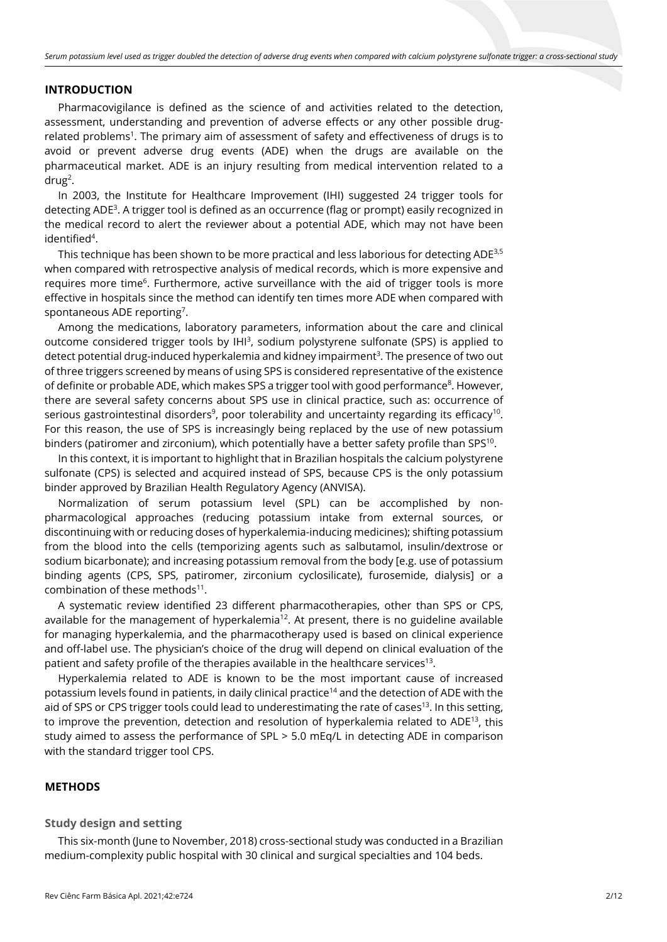## **INTRODUCTION**

Pharmacovigilance is defined as the science of and activities related to the detection, assessment, understanding and prevention of adverse effects or any other possible drugrelated problems<sup>1</sup>. The primary aim of assessment of safety and effectiveness of drugs is to avoid or prevent adverse drug events (ADE) when the drugs are available on the pharmaceutical market. ADE is an injury resulting from medical intervention related to a drug<sup>2</sup>.

In 2003, the Institute for Healthcare Improvement (IHI) suggested 24 trigger tools for detecting ADE3 . A trigger tool is defined as an occurrence (flag or prompt) easily recognized in the medical record to alert the reviewer about a potential ADE, which may not have been identified<sup>4</sup>.

This technique has been shown to be more practical and less laborious for detecting ADE<sup>3,5</sup> when compared with retrospective analysis of medical records, which is more expensive and requires more time<sup>6</sup>. Furthermore, active surveillance with the aid of trigger tools is more effective in hospitals since the method can identify ten times more ADE when compared with spontaneous ADE reporting<sup>7</sup>.

Among the medications, laboratory parameters, information about the care and clinical outcome considered trigger tools by IHI<sup>3</sup>, sodium polystyrene sulfonate (SPS) is applied to detect potential drug-induced hyperkalemia and kidney impairment<sup>3</sup>. The presence of two out of three triggers screened by means of using SPS is considered representative of the existence of definite or probable ADE, which makes SPS a trigger tool with good performance<sup>8</sup>. However, there are several safety concerns about SPS use in clinical practice, such as: occurrence of serious gastrointestinal disorders<sup>9</sup>, poor tolerability and uncertainty regarding its efficacy<sup>10</sup>. For this reason, the use of SPS is increasingly being replaced by the use of new potassium binders (patiromer and zirconium), which potentially have a better safety profile than SPS<sup>10</sup>.

In this context, it is important to highlight that in Brazilian hospitals the calcium polystyrene sulfonate (CPS) is selected and acquired instead of SPS, because CPS is the only potassium binder approved by Brazilian Health Regulatory Agency (ANVISA).

Normalization of serum potassium level (SPL) can be accomplished by nonpharmacological approaches (reducing potassium intake from external sources, or discontinuing with or reducing doses of hyperkalemia-inducing medicines); shifting potassium from the blood into the cells (temporizing agents such as salbutamol, insulin/dextrose or sodium bicarbonate); and increasing potassium removal from the body [e.g. use of potassium binding agents (CPS, SPS, patiromer, zirconium cyclosilicate), furosemide, dialysis] or a combination of these methods $11$ .

A systematic review identified 23 different pharmacotherapies, other than SPS or CPS, available for the management of hyperkalemia<sup>12</sup>. At present, there is no guideline available for managing hyperkalemia, and the pharmacotherapy used is based on clinical experience and off-label use. The physician's choice of the drug will depend on clinical evaluation of the patient and safety profile of the therapies available in the healthcare services<sup>13</sup>.

Hyperkalemia related to ADE is known to be the most important cause of increased potassium levels found in patients, in daily clinical practice<sup>14</sup> and the detection of ADE with the aid of SPS or CPS trigger tools could lead to underestimating the rate of cases<sup>13</sup>. In this setting, to improve the prevention, detection and resolution of hyperkalemia related to ADE<sup>13</sup>, this study aimed to assess the performance of SPL > 5.0 mEq/L in detecting ADE in comparison with the standard trigger tool CPS.

#### **METHODS**

#### **Study design and setting**

This six-month (June to November, 2018) cross-sectional study was conducted in a Brazilian medium-complexity public hospital with 30 clinical and surgical specialties and 104 beds.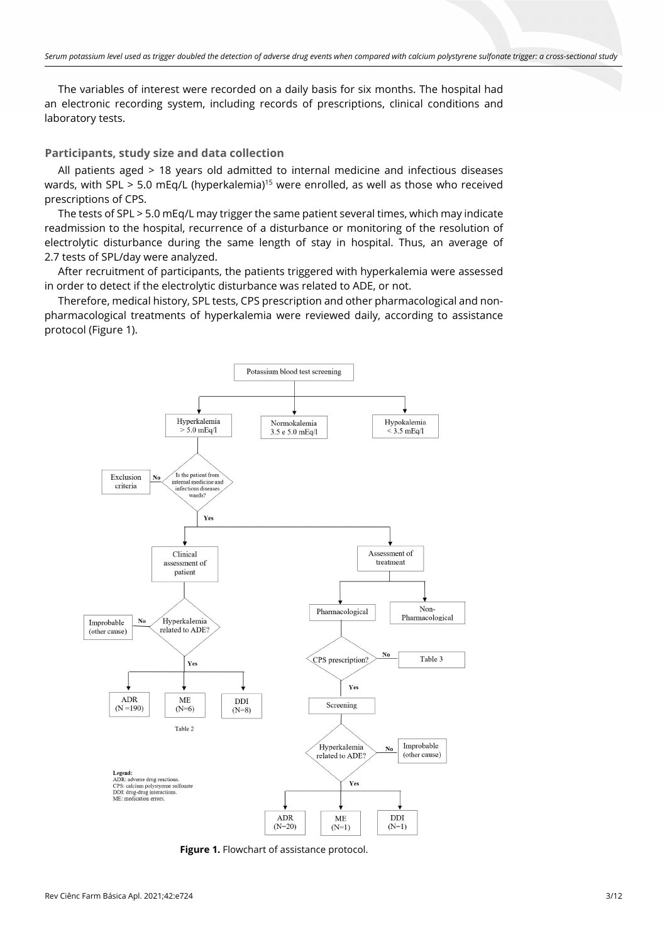The variables of interest were recorded on a daily basis for six months. The hospital had an electronic recording system, including records of prescriptions, clinical conditions and laboratory tests.

## **Participants, study size and data collection**

All patients aged > 18 years old admitted to internal medicine and infectious diseases wards, with SPL > 5.0 mEq/L (hyperkalemia)<sup>15</sup> were enrolled, as well as those who received prescriptions of CPS.

The tests of SPL > 5.0 mEq/L may trigger the same patient several times, which may indicate readmission to the hospital, recurrence of a disturbance or monitoring of the resolution of electrolytic disturbance during the same length of stay in hospital. Thus, an average of 2.7 tests of SPL/day were analyzed.

After recruitment of participants, the patients triggered with hyperkalemia were assessed in order to detect if the electrolytic disturbance was related to ADE, or not.

Therefore, medical history, SPL tests, CPS prescription and other pharmacological and nonpharmacological treatments of hyperkalemia were reviewed daily, according to assistance protocol (Figure 1).



**Figure 1.** Flowchart of assistance protocol.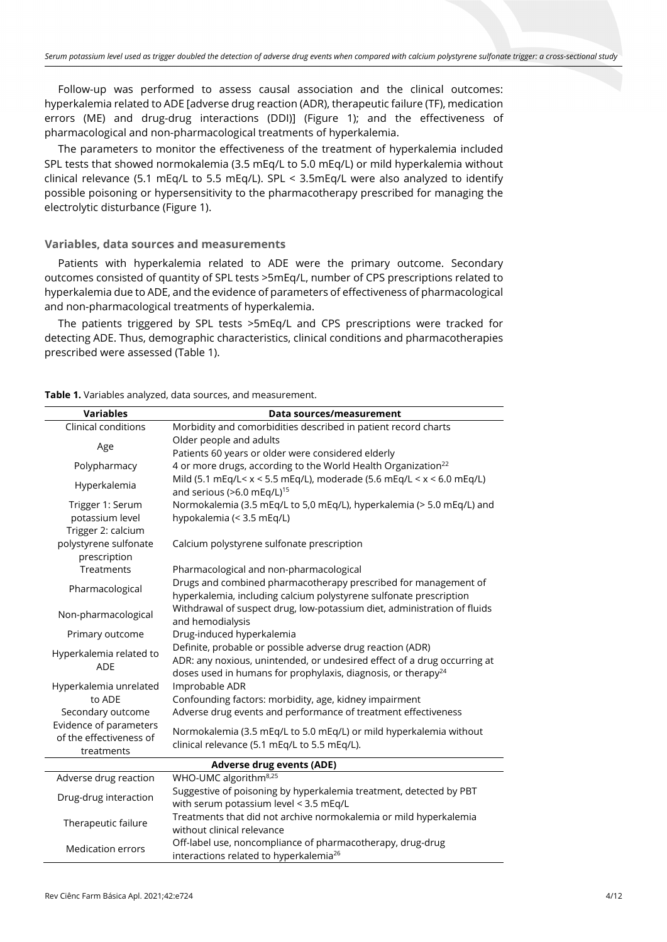Follow-up was performed to assess causal association and the clinical outcomes: hyperkalemia related to ADE [adverse drug reaction (ADR), therapeutic failure (TF), medication errors (ME) and drug-drug interactions (DDI)] (Figure 1); and the effectiveness of pharmacological and non-pharmacological treatments of hyperkalemia.

The parameters to monitor the effectiveness of the treatment of hyperkalemia included SPL tests that showed normokalemia (3.5 mEq/L to 5.0 mEq/L) or mild hyperkalemia without clinical relevance (5.1 mEq/L to 5.5 mEq/L). SPL < 3.5mEq/L were also analyzed to identify possible poisoning or hypersensitivity to the pharmacotherapy prescribed for managing the electrolytic disturbance (Figure 1).

## **Variables, data sources and measurements**

Patients with hyperkalemia related to ADE were the primary outcome. Secondary outcomes consisted of quantity of SPL tests >5mEq/L, number of CPS prescriptions related to hyperkalemia due to ADE, and the evidence of parameters of effectiveness of pharmacological and non-pharmacological treatments of hyperkalemia.

The patients triggered by SPL tests >5mEq/L and CPS prescriptions were tracked for detecting ADE. Thus, demographic characteristics, clinical conditions and pharmacotherapies prescribed were assessed (Table 1).

| Table 1. Variables analyzed, data sources, and measurement. |  |  |
|-------------------------------------------------------------|--|--|
|-------------------------------------------------------------|--|--|

| <b>Variables</b>                                                | Data sources/measurement                                                                                                                                                                                            |  |  |  |  |
|-----------------------------------------------------------------|---------------------------------------------------------------------------------------------------------------------------------------------------------------------------------------------------------------------|--|--|--|--|
| Clinical conditions                                             | Morbidity and comorbidities described in patient record charts                                                                                                                                                      |  |  |  |  |
|                                                                 | Older people and adults                                                                                                                                                                                             |  |  |  |  |
| Age                                                             | Patients 60 years or older were considered elderly                                                                                                                                                                  |  |  |  |  |
| Polypharmacy                                                    | 4 or more drugs, according to the World Health Organization <sup>22</sup>                                                                                                                                           |  |  |  |  |
| Hyperkalemia                                                    | Mild (5.1 mEq/L< $x$ < 5.5 mEq/L), moderade (5.6 mEq/L < $x$ < 6.0 mEq/L)<br>and serious (>6.0 mEq/L) <sup>15</sup>                                                                                                 |  |  |  |  |
| Trigger 1: Serum                                                | Normokalemia (3.5 mEq/L to 5,0 mEq/L), hyperkalemia (> 5.0 mEq/L) and                                                                                                                                               |  |  |  |  |
| potassium level                                                 | hypokalemia (< 3.5 mEq/L)                                                                                                                                                                                           |  |  |  |  |
| Trigger 2: calcium                                              |                                                                                                                                                                                                                     |  |  |  |  |
| polystyrene sulfonate                                           | Calcium polystyrene sulfonate prescription                                                                                                                                                                          |  |  |  |  |
| prescription                                                    |                                                                                                                                                                                                                     |  |  |  |  |
| Treatments                                                      | Pharmacological and non-pharmacological                                                                                                                                                                             |  |  |  |  |
| Pharmacological                                                 | Drugs and combined pharmacotherapy prescribed for management of<br>hyperkalemia, including calcium polystyrene sulfonate prescription                                                                               |  |  |  |  |
| Non-pharmacological                                             | Withdrawal of suspect drug, low-potassium diet, administration of fluids<br>and hemodialysis                                                                                                                        |  |  |  |  |
| Primary outcome                                                 | Drug-induced hyperkalemia                                                                                                                                                                                           |  |  |  |  |
| Hyperkalemia related to<br><b>ADE</b>                           | Definite, probable or possible adverse drug reaction (ADR)<br>ADR: any noxious, unintended, or undesired effect of a drug occurring at<br>doses used in humans for prophylaxis, diagnosis, or therapy <sup>24</sup> |  |  |  |  |
| Hyperkalemia unrelated                                          | Improbable ADR                                                                                                                                                                                                      |  |  |  |  |
| to ADE                                                          | Confounding factors: morbidity, age, kidney impairment                                                                                                                                                              |  |  |  |  |
| Secondary outcome                                               | Adverse drug events and performance of treatment effectiveness                                                                                                                                                      |  |  |  |  |
| Evidence of parameters<br>of the effectiveness of<br>treatments | Normokalemia (3.5 mEq/L to 5.0 mEq/L) or mild hyperkalemia without<br>clinical relevance (5.1 mEq/L to 5.5 mEq/L).                                                                                                  |  |  |  |  |
| <b>Adverse drug events (ADE)</b>                                |                                                                                                                                                                                                                     |  |  |  |  |
| Adverse drug reaction                                           | WHO-UMC algorithm <sup>8,25</sup>                                                                                                                                                                                   |  |  |  |  |
| Drug-drug interaction                                           | Suggestive of poisoning by hyperkalemia treatment, detected by PBT<br>with serum potassium level < 3.5 mEq/L                                                                                                        |  |  |  |  |
| Therapeutic failure                                             | Treatments that did not archive normokalemia or mild hyperkalemia<br>without clinical relevance                                                                                                                     |  |  |  |  |
| <b>Medication errors</b>                                        | Off-label use, noncompliance of pharmacotherapy, drug-drug<br>interactions related to hyperkalemia <sup>26</sup>                                                                                                    |  |  |  |  |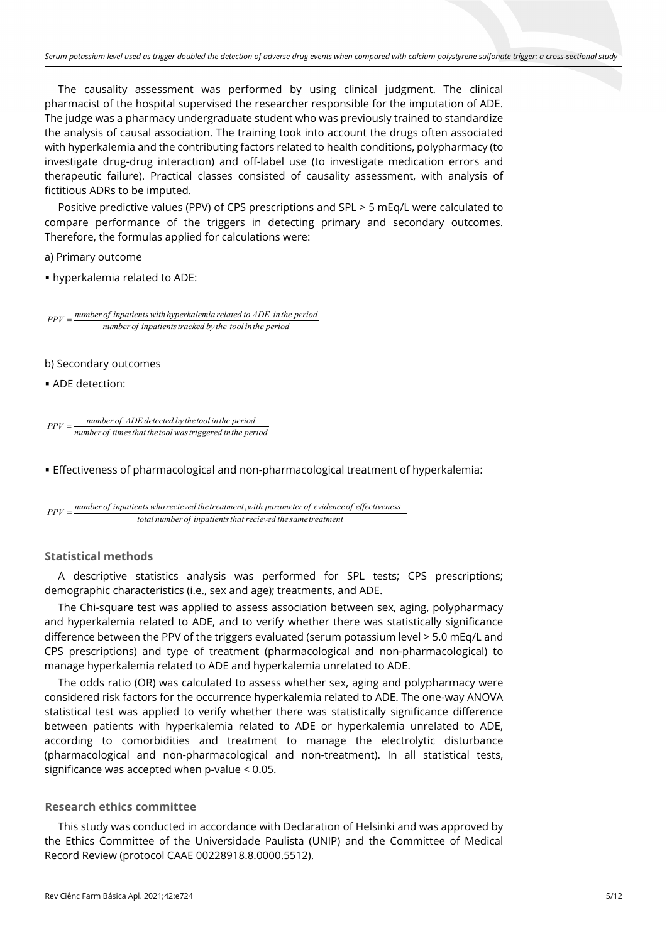The causality assessment was performed by using clinical judgment. The clinical pharmacist of the hospital supervised the researcher responsible for the imputation of ADE. The judge was a pharmacy undergraduate student who was previously trained to standardize the analysis of causal association. The training took into account the drugs often associated with hyperkalemia and the contributing factors related to health conditions, polypharmacy (to investigate drug-drug interaction) and off-label use (to investigate medication errors and therapeutic failure). Practical classes consisted of causality assessment, with analysis of fictitious ADRs to be imputed.

Positive predictive values (PPV) of CPS prescriptions and SPL > 5 mEq/L were calculated to compare performance of the triggers in detecting primary and secondary outcomes. Therefore, the formulas applied for calculations were:

a) Primary outcome

▪ hyperkalemia related to ADE:

*number of inpatients with hyperkalemia related to ADE in the period*  $PPV = \frac{number\theta}{P}$ <sup>*number of inpatients with hyperxatema retated to ADE thin*<br>number of inpatients tracked by the tool in the period</sup>

- b) Secondary outcomes
- **ADE detection:**

 $PPV =$  <u>mumber of ADE detected by the tool in the period</u> *number of timesthat thetool wastriggered inthe period* <sup>=</sup>

▪ Effectiveness of pharmacological and non-pharmacological treatment of hyperkalemia:

$$
PPV = \frac{number\ of\ in patients\ who\ received\ the treatment, with\ parameter\ of\ evidence\ of\ effectiveness}{total\ number\ of\ in patients\ that\ received\ the\ same\ treatment}
$$

# **Statistical methods**

A descriptive statistics analysis was performed for SPL tests; CPS prescriptions; demographic characteristics (i.e., sex and age); treatments, and ADE.

The Chi-square test was applied to assess association between sex, aging, polypharmacy and hyperkalemia related to ADE, and to verify whether there was statistically significance difference between the PPV of the triggers evaluated (serum potassium level > 5.0 mEq/L and CPS prescriptions) and type of treatment (pharmacological and non-pharmacological) to manage hyperkalemia related to ADE and hyperkalemia unrelated to ADE.

The odds ratio (OR) was calculated to assess whether sex, aging and polypharmacy were considered risk factors for the occurrence hyperkalemia related to ADE. The one-way ANOVA statistical test was applied to verify whether there was statistically significance difference between patients with hyperkalemia related to ADE or hyperkalemia unrelated to ADE, according to comorbidities and treatment to manage the electrolytic disturbance (pharmacological and non-pharmacological and non-treatment). In all statistical tests, significance was accepted when p-value < 0.05.

# **Research ethics committee**

This study was conducted in accordance with Declaration of Helsinki and was approved by the Ethics Committee of the Universidade Paulista (UNIP) and the Committee of Medical Record Review (protocol CAAE 00228918.8.0000.5512).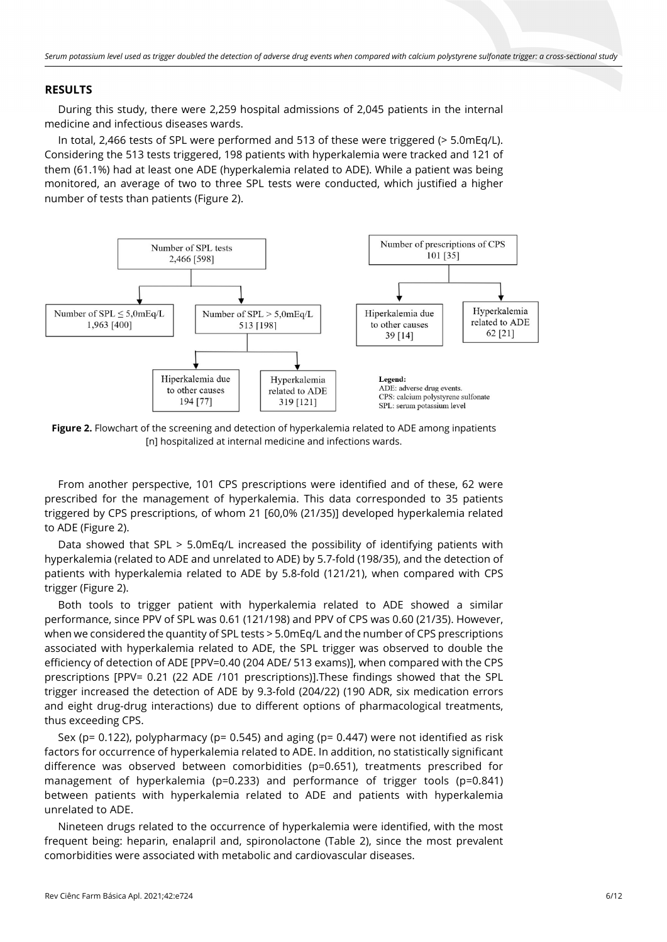# **RESULTS**

During this study, there were 2,259 hospital admissions of 2,045 patients in the internal medicine and infectious diseases wards.

In total, 2,466 tests of SPL were performed and 513 of these were triggered (> 5.0mEq/L). Considering the 513 tests triggered, 198 patients with hyperkalemia were tracked and 121 of them (61.1%) had at least one ADE (hyperkalemia related to ADE). While a patient was being monitored, an average of two to three SPL tests were conducted, which justified a higher number of tests than patients (Figure 2).



**Figure 2.** Flowchart of the screening and detection of hyperkalemia related to ADE among inpatients [n] hospitalized at internal medicine and infections wards.

From another perspective, 101 CPS prescriptions were identified and of these, 62 were prescribed for the management of hyperkalemia. This data corresponded to 35 patients triggered by CPS prescriptions, of whom 21 [60,0% (21/35)] developed hyperkalemia related to ADE (Figure 2).

Data showed that SPL > 5.0mEq/L increased the possibility of identifying patients with hyperkalemia (related to ADE and unrelated to ADE) by 5.7-fold (198/35), and the detection of patients with hyperkalemia related to ADE by 5.8-fold (121/21), when compared with CPS trigger (Figure 2).

Both tools to trigger patient with hyperkalemia related to ADE showed a similar performance, since PPV of SPL was 0.61 (121/198) and PPV of CPS was 0.60 (21/35). However, when we considered the quantity of SPL tests > 5.0mEq/L and the number of CPS prescriptions associated with hyperkalemia related to ADE, the SPL trigger was observed to double the efficiency of detection of ADE [PPV=0.40 (204 ADE/ 513 exams)], when compared with the CPS prescriptions [PPV= 0.21 (22 ADE /101 prescriptions)].These findings showed that the SPL trigger increased the detection of ADE by 9.3-fold (204/22) (190 ADR, six medication errors and eight drug-drug interactions) due to different options of pharmacological treatments, thus exceeding CPS.

Sex ( $p= 0.122$ ), polypharmacy ( $p= 0.545$ ) and aging ( $p= 0.447$ ) were not identified as risk factors for occurrence of hyperkalemia related to ADE. In addition, no statistically significant difference was observed between comorbidities (p=0.651), treatments prescribed for management of hyperkalemia (p=0.233) and performance of trigger tools (p=0.841) between patients with hyperkalemia related to ADE and patients with hyperkalemia unrelated to ADE.

Nineteen drugs related to the occurrence of hyperkalemia were identified, with the most frequent being: heparin, enalapril and, spironolactone (Table 2), since the most prevalent comorbidities were associated with metabolic and cardiovascular diseases.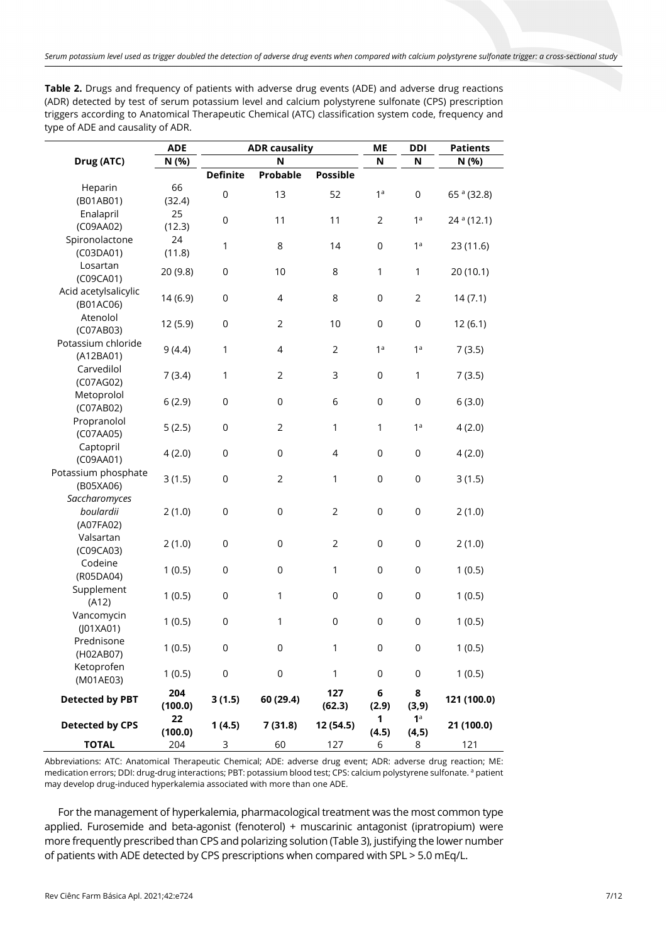| Table 2. Drugs and frequency of patients with adverse drug events (ADE) and adverse drug reactions    |
|-------------------------------------------------------------------------------------------------------|
| (ADR) detected by test of serum potassium level and calcium polystyrene sulfonate (CPS) prescription  |
| triggers according to Anatomical Therapeutic Chemical (ATC) classification system code, frequency and |
| type of ADE and causality of ADR.                                                                     |

| <b>ADE</b><br><b>ADR causality</b> |               |                 |                | МE               | <b>DDI</b>          | <b>Patients</b>          |                        |  |
|------------------------------------|---------------|-----------------|----------------|------------------|---------------------|--------------------------|------------------------|--|
| Drug (ATC)                         | N (%)         | N               |                | N                | N                   | N (%)                    |                        |  |
|                                    |               | <b>Definite</b> | Probable       | <b>Possible</b>  |                     |                          |                        |  |
| Heparin                            | 66            | $\mathsf 0$     | 13             | 52               | 1 <sup>a</sup>      | $\boldsymbol{0}$         | 65 <sup>a</sup> (32.8) |  |
| (B01AB01)                          | (32.4)        |                 |                |                  |                     |                          |                        |  |
| Enalapril<br>(C09AA02)             | 25<br>(12.3)  | $\mathsf 0$     | 11             | 11               | $\mathbf{2}$        | 1 <sup>a</sup>           | 24 <sup>a</sup> (12.1) |  |
| Spironolactone                     | 24            |                 |                |                  |                     |                          |                        |  |
| (C03DA01)                          | (11.8)        | 1               | 8              | 14               | $\mathsf{O}\xspace$ | 1 <sup>a</sup>           | 23 (11.6)              |  |
| Losartan                           |               |                 |                |                  |                     |                          |                        |  |
| (C09CA01)                          | 20 (9.8)      | 0               | 10             | 8                | 1                   | 1                        | 20 (10.1)              |  |
| Acid acetylsalicylic               | 14 (6.9)      | $\mathsf 0$     | $\overline{4}$ | 8                | $\mathsf{O}\xspace$ | $\overline{2}$           | 14(7.1)                |  |
| (B01AC06)                          |               |                 |                |                  |                     |                          |                        |  |
| Atenolol                           | 12 (5.9)      | $\mathsf 0$     | $\overline{2}$ | 10               | $\mathsf{O}\xspace$ | $\mathsf{O}\xspace$      | 12(6.1)                |  |
| (C07AB03)                          |               |                 |                |                  |                     |                          |                        |  |
| Potassium chloride                 | 9(4.4)        | 1               | 4              | $\overline{2}$   | 1 <sup>a</sup>      | 1 <sup>a</sup>           | 7(3.5)                 |  |
| (A12BA01)                          |               |                 |                |                  |                     |                          |                        |  |
| Carvedilol                         | 7(3.4)        | 1               | $\overline{2}$ | 3                | $\mathsf{O}\xspace$ | 1                        | 7(3.5)                 |  |
| (C07AG02)<br>Metoprolol            |               |                 |                |                  |                     |                          |                        |  |
| (C07AB02)                          | 6(2.9)        | $\mathsf 0$     | $\mathsf 0$    | 6                | $\mathsf{O}\xspace$ | $\mathsf 0$              | 6(3.0)                 |  |
| Propranolol                        |               |                 |                |                  |                     |                          |                        |  |
| (C07AA05)                          | 5(2.5)        | $\mathsf 0$     | $\overline{2}$ | $\mathbf{1}$     | 1                   | 1 <sup>a</sup>           | 4(2.0)                 |  |
| Captopril                          |               |                 |                |                  |                     |                          |                        |  |
| (C09AA01)                          | 4(2.0)        | $\mathsf 0$     | $\mathsf 0$    | $\overline{4}$   | 0                   | $\boldsymbol{0}$         | 4(2.0)                 |  |
| Potassium phosphate                | 3(1.5)        | $\mathsf 0$     | $\overline{2}$ | 1                | 0                   | $\boldsymbol{0}$         | 3(1.5)                 |  |
| (B05XA06)                          |               |                 |                |                  |                     |                          |                        |  |
| Saccharomyces                      |               |                 |                |                  |                     |                          |                        |  |
| boulardii                          | 2(1.0)        | $\mathsf 0$     | $\mathsf 0$    | $\overline{2}$   | $\mathsf 0$         | $\mathsf{O}\xspace$      | 2(1.0)                 |  |
| (A07FA02)                          |               |                 |                |                  |                     |                          |                        |  |
| Valsartan                          | 2(1.0)        | $\mathsf 0$     | $\mathsf 0$    | $\overline{2}$   | 0                   | $\boldsymbol{0}$         | 2(1.0)                 |  |
| (C09CA03)                          |               |                 |                |                  |                     |                          |                        |  |
| Codeine<br>(R05DA04)               | 1(0.5)        | $\mathsf 0$     | $\mathbf 0$    | $\mathbf{1}$     | 0                   | $\boldsymbol{0}$         | 1(0.5)                 |  |
| Supplement                         |               |                 |                |                  |                     |                          |                        |  |
| (A12)                              | 1(0.5)        | $\mathsf 0$     | 1              | $\boldsymbol{0}$ | $\mathsf 0$         | $\boldsymbol{0}$         | 1(0.5)                 |  |
| Vancomycin                         |               |                 |                |                  |                     |                          |                        |  |
| (J01XA01)                          | 1(0.5)        | $\mathsf 0$     | 1              | $\boldsymbol{0}$ | $\mathsf 0$         | $\mathsf 0$              | 1(0.5)                 |  |
| Prednisone                         |               |                 |                |                  |                     |                          |                        |  |
| (H02AB07)                          | 1(0.5)        | $\mathsf 0$     | $\mathsf 0$    | 1                | 0                   | $\mathsf 0$              | 1(0.5)                 |  |
| Ketoprofen                         | 1(0.5)        | $\mathbf 0$     | $\mathsf 0$    | $\mathbf{1}$     | 0                   | $\boldsymbol{0}$         | 1(0.5)                 |  |
| (M01AE03)                          |               |                 |                |                  |                     |                          |                        |  |
| <b>Detected by PBT</b>             | 204           | 3(1.5)          | 60 (29.4)      | 127              | 6                   | 8                        | 121 (100.0)            |  |
|                                    | (100.0)       |                 |                | (62.3)           | (2.9)               | (3, 9)                   |                        |  |
| <b>Detected by CPS</b>             | 22<br>(100.0) | 1(4.5)          | 7(31.8)        | 12 (54.5)        | 1<br>(4.5)          | 1 <sup>a</sup><br>(4, 5) | 21 (100.0)             |  |
| <b>TOTAL</b>                       | 204           | 3               | 60             | 127              | 6                   | 8                        | 121                    |  |

Abbreviations: ATC: Anatomical Therapeutic Chemical; ADE: adverse drug event; ADR: adverse drug reaction; ME: medication errors; DDI: drug-drug interactions; PBT: potassium blood test; CPS: calcium polystyrene sulfonate. <sup>a</sup> patient may develop drug-induced hyperkalemia associated with more than one ADE.

For the management of hyperkalemia, pharmacological treatment was the most common type applied. Furosemide and beta-agonist (fenoterol) + muscarinic antagonist (ipratropium) were more frequently prescribed than CPS and polarizing solution (Table 3), justifying the lower number of patients with ADE detected by CPS prescriptions when compared with SPL > 5.0 mEq/L.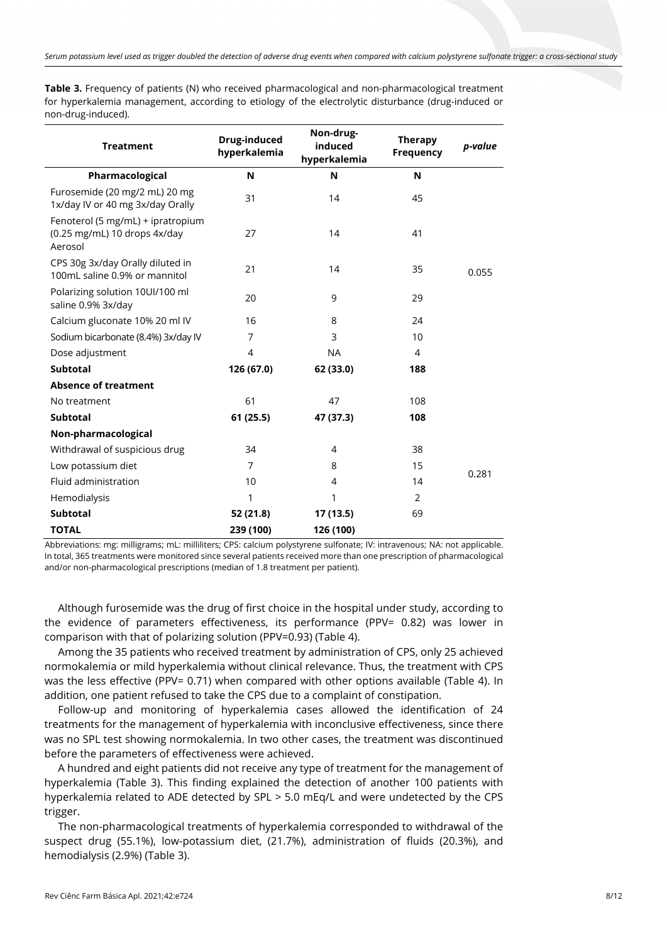**Table 3.** Frequency of patients (N) who received pharmacological and non-pharmacological treatment for hyperkalemia management, according to etiology of the electrolytic disturbance (drug-induced or non-drug-induced).

| <b>Treatment</b>                                                             | Drug-induced<br>hyperkalemia | Non-drug-<br>induced<br>hyperkalemia | <b>Therapy</b><br>Frequency | p-value |  |
|------------------------------------------------------------------------------|------------------------------|--------------------------------------|-----------------------------|---------|--|
| Pharmacological                                                              | N                            | N                                    | N                           |         |  |
| Furosemide (20 mg/2 mL) 20 mg<br>1x/day IV or 40 mg 3x/day Orally            | 31                           | 14                                   | 45                          |         |  |
| Fenoterol (5 mg/mL) + ipratropium<br>(0.25 mg/mL) 10 drops 4x/day<br>Aerosol | 27                           | 14                                   | 41                          |         |  |
| CPS 30g 3x/day Orally diluted in<br>100mL saline 0.9% or mannitol            | 21                           | 14                                   | 35                          | 0.055   |  |
| Polarizing solution 10UI/100 ml<br>saline 0.9% 3x/day                        | 20                           | 9                                    | 29                          |         |  |
| Calcium gluconate 10% 20 ml IV                                               | 16                           | 8                                    | 24                          |         |  |
| Sodium bicarbonate (8.4%) 3x/day IV                                          | 7                            | 3                                    | 10                          |         |  |
| Dose adjustment                                                              | 4                            | <b>NA</b>                            | 4                           |         |  |
| <b>Subtotal</b>                                                              | 126 (67.0)                   | 62 (33.0)                            | 188                         |         |  |
| <b>Absence of treatment</b>                                                  |                              |                                      |                             |         |  |
| No treatment                                                                 | 61                           | 47                                   | 108                         |         |  |
| <b>Subtotal</b>                                                              | 61(25.5)                     | 47 (37.3)                            | 108                         |         |  |
| Non-pharmacological                                                          |                              |                                      |                             |         |  |
| Withdrawal of suspicious drug                                                | 34                           | 4                                    | 38                          |         |  |
| Low potassium diet                                                           | 7                            | 8                                    | 15                          | 0.281   |  |
| Fluid administration                                                         | 10                           | 4                                    | 14                          |         |  |
| Hemodialysis                                                                 | 1                            | 1                                    | 2                           |         |  |
| <b>Subtotal</b>                                                              | 52 (21.8)                    | 17 (13.5)                            | 69                          |         |  |
| <b>TOTAL</b>                                                                 | 239 (100)                    | 126 (100)                            |                             |         |  |

Abbreviations: mg: milligrams; mL: milliliters; CPS: calcium polystyrene sulfonate; IV: intravenous; NA: not applicable. In total, 365 treatments were monitored since several patients received more than one prescription of pharmacological and/or non-pharmacological prescriptions (median of 1.8 treatment per patient).

Although furosemide was the drug of first choice in the hospital under study, according to the evidence of parameters effectiveness, its performance (PPV= 0.82) was lower in comparison with that of polarizing solution (PPV=0.93) (Table 4).

Among the 35 patients who received treatment by administration of CPS, only 25 achieved normokalemia or mild hyperkalemia without clinical relevance. Thus, the treatment with CPS was the less effective (PPV= 0.71) when compared with other options available (Table 4). In addition, one patient refused to take the CPS due to a complaint of constipation.

Follow-up and monitoring of hyperkalemia cases allowed the identification of 24 treatments for the management of hyperkalemia with inconclusive effectiveness, since there was no SPL test showing normokalemia. In two other cases, the treatment was discontinued before the parameters of effectiveness were achieved.

A hundred and eight patients did not receive any type of treatment for the management of hyperkalemia (Table 3). This finding explained the detection of another 100 patients with hyperkalemia related to ADE detected by SPL > 5.0 mEq/L and were undetected by the CPS trigger.

The non-pharmacological treatments of hyperkalemia corresponded to withdrawal of the suspect drug (55.1%), low-potassium diet, (21.7%), administration of fluids (20.3%), and hemodialysis (2.9%) (Table 3).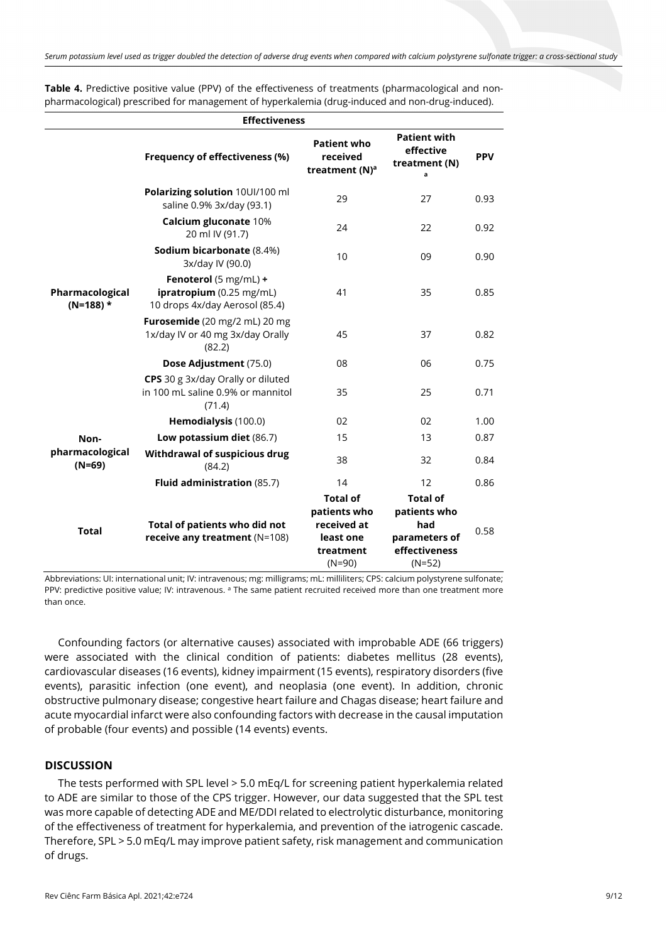| <b>Effectiveness</b>           |                                                                                     |                                                                                      |                                                                                      |            |  |  |
|--------------------------------|-------------------------------------------------------------------------------------|--------------------------------------------------------------------------------------|--------------------------------------------------------------------------------------|------------|--|--|
|                                | Frequency of effectiveness (%)                                                      | <b>Patient who</b><br>received<br>treatment (N) <sup>a</sup>                         | <b>Patient with</b><br>effective<br>treatment (N)<br>a                               | <b>PPV</b> |  |  |
|                                | Polarizing solution 10UI/100 ml<br>saline 0.9% 3x/day (93.1)                        | 29                                                                                   | 27                                                                                   | 0.93       |  |  |
|                                | Calcium gluconate 10%<br>20 ml IV (91.7)                                            | 24                                                                                   | 22                                                                                   | 0.92       |  |  |
|                                | Sodium bicarbonate (8.4%)<br>3x/day IV (90.0)                                       | 10                                                                                   | 09                                                                                   | 0.90       |  |  |
| Pharmacological<br>$(N=188)$ * | Fenoterol (5 mg/mL) +<br>ipratropium (0.25 mg/mL)<br>10 drops 4x/day Aerosol (85.4) | 41                                                                                   | 35                                                                                   | 0.85       |  |  |
|                                | Furosemide (20 mg/2 mL) 20 mg<br>1x/day IV or 40 mg 3x/day Orally<br>(82.2)         | 45                                                                                   | 37                                                                                   | 0.82       |  |  |
|                                | Dose Adjustment (75.0)                                                              | 08                                                                                   | 06                                                                                   | 0.75       |  |  |
|                                | CPS 30 g 3x/day Orally or diluted<br>in 100 mL saline 0.9% or mannitol<br>(71.4)    | 35                                                                                   | 25                                                                                   | 0.71       |  |  |
|                                | Hemodialysis (100.0)                                                                | 02                                                                                   | 02                                                                                   | 1.00       |  |  |
| Non-                           | Low potassium diet (86.7)                                                           | 15                                                                                   | 13                                                                                   | 0.87       |  |  |
| pharmacological<br>$(N=69)$    | Withdrawal of suspicious drug<br>(84.2)                                             | 38                                                                                   | 32                                                                                   | 0.84       |  |  |
|                                | Fluid administration (85.7)                                                         | 14                                                                                   | 12                                                                                   | 0.86       |  |  |
| <b>Total</b>                   | Total of patients who did not<br>receive any treatment (N=108)                      | <b>Total of</b><br>patients who<br>received at<br>least one<br>treatment<br>$(N=90)$ | <b>Total of</b><br>patients who<br>had<br>parameters of<br>effectiveness<br>$(N=52)$ | 0.58       |  |  |

**Table 4.** Predictive positive value (PPV) of the effectiveness of treatments (pharmacological and nonpharmacological) prescribed for management of hyperkalemia (drug-induced and non-drug-induced).

Abbreviations: UI: international unit; IV: intravenous; mg: milligrams; mL: milliliters; CPS: calcium polystyrene sulfonate; PPV: predictive positive value; IV: intravenous. <sup>a</sup> The same patient recruited received more than one treatment more than once.

Confounding factors (or alternative causes) associated with improbable ADE (66 triggers) were associated with the clinical condition of patients: diabetes mellitus (28 events), cardiovascular diseases (16 events), kidney impairment (15 events), respiratory disorders (five events), parasitic infection (one event), and neoplasia (one event). In addition, chronic obstructive pulmonary disease; congestive heart failure and Chagas disease; heart failure and acute myocardial infarct were also confounding factors with decrease in the causal imputation of probable (four events) and possible (14 events) events.

## **DISCUSSION**

The tests performed with SPL level > 5.0 mEq/L for screening patient hyperkalemia related to ADE are similar to those of the CPS trigger. However, our data suggested that the SPL test was more capable of detecting ADE and ME/DDI related to electrolytic disturbance, monitoring of the effectiveness of treatment for hyperkalemia, and prevention of the iatrogenic cascade. Therefore, SPL > 5.0 mEq/L may improve patient safety, risk management and communication of drugs.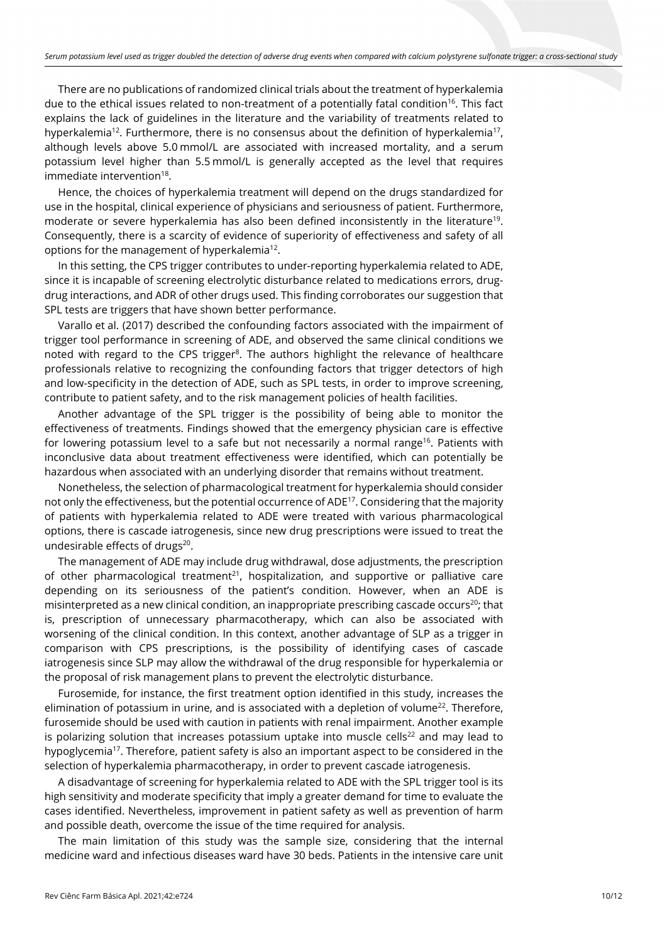There are no publications of randomized clinical trials about the treatment of hyperkalemia due to the ethical issues related to non-treatment of a potentially fatal condition<sup>16</sup>. This fact explains the lack of guidelines in the literature and the variability of treatments related to hyperkalemia<sup>12</sup>. Furthermore, there is no consensus about the definition of hyperkalemia<sup>17</sup>, although levels above 5.0 mmol/L are associated with increased mortality, and a serum potassium level higher than 5.5 mmol/L is generally accepted as the level that requires immediate intervention<sup>18</sup>.

Hence, the choices of hyperkalemia treatment will depend on the drugs standardized for use in the hospital, clinical experience of physicians and seriousness of patient. Furthermore, moderate or severe hyperkalemia has also been defined inconsistently in the literature<sup>19</sup>. Consequently, there is a scarcity of evidence of superiority of effectiveness and safety of all options for the management of hyperkalemia<sup>12</sup>.

In this setting, the CPS trigger contributes to under-reporting hyperkalemia related to ADE, since it is incapable of screening electrolytic disturbance related to medications errors, drugdrug interactions, and ADR of other drugs used. This finding corroborates our suggestion that SPL tests are triggers that have shown better performance.

Varallo et al. (2017) described the confounding factors associated with the impairment of trigger tool performance in screening of ADE, and observed the same clinical conditions we noted with regard to the CPS trigger $8$ . The authors highlight the relevance of healthcare professionals relative to recognizing the confounding factors that trigger detectors of high and low-specificity in the detection of ADE, such as SPL tests, in order to improve screening, contribute to patient safety, and to the risk management policies of health facilities.

Another advantage of the SPL trigger is the possibility of being able to monitor the effectiveness of treatments. Findings showed that the emergency physician care is effective for lowering potassium level to a safe but not necessarily a normal range<sup>16</sup>. Patients with inconclusive data about treatment effectiveness were identified, which can potentially be hazardous when associated with an underlying disorder that remains without treatment.

Nonetheless, the selection of pharmacological treatment for hyperkalemia should consider not only the effectiveness, but the potential occurrence of ADE<sup>17</sup>. Considering that the majority of patients with hyperkalemia related to ADE were treated with various pharmacological options, there is cascade iatrogenesis, since new drug prescriptions were issued to treat the undesirable effects of drugs<sup>20</sup>.

The management of ADE may include drug withdrawal, dose adjustments, the prescription of other pharmacological treatment<sup>21</sup>, hospitalization, and supportive or palliative care depending on its seriousness of the patient's condition. However, when an ADE is misinterpreted as a new clinical condition, an inappropriate prescribing cascade occurs<sup>20</sup>; that is, prescription of unnecessary pharmacotherapy, which can also be associated with worsening of the clinical condition. In this context, another advantage of SLP as a trigger in comparison with CPS prescriptions, is the possibility of identifying cases of cascade iatrogenesis since SLP may allow the withdrawal of the drug responsible for hyperkalemia or the proposal of risk management plans to prevent the electrolytic disturbance.

Furosemide, for instance, the first treatment option identified in this study, increases the elimination of potassium in urine, and is associated with a depletion of volume<sup>22</sup>. Therefore, furosemide should be used with caution in patients with renal impairment. Another example is polarizing solution that increases potassium uptake into muscle cells $^{22}$  and may lead to hypoglycemia<sup>17</sup>. Therefore, patient safety is also an important aspect to be considered in the selection of hyperkalemia pharmacotherapy, in order to prevent cascade iatrogenesis.

A disadvantage of screening for hyperkalemia related to ADE with the SPL trigger tool is its high sensitivity and moderate specificity that imply a greater demand for time to evaluate the cases identified. Nevertheless, improvement in patient safety as well as prevention of harm and possible death, overcome the issue of the time required for analysis.

The main limitation of this study was the sample size, considering that the internal medicine ward and infectious diseases ward have 30 beds. Patients in the intensive care unit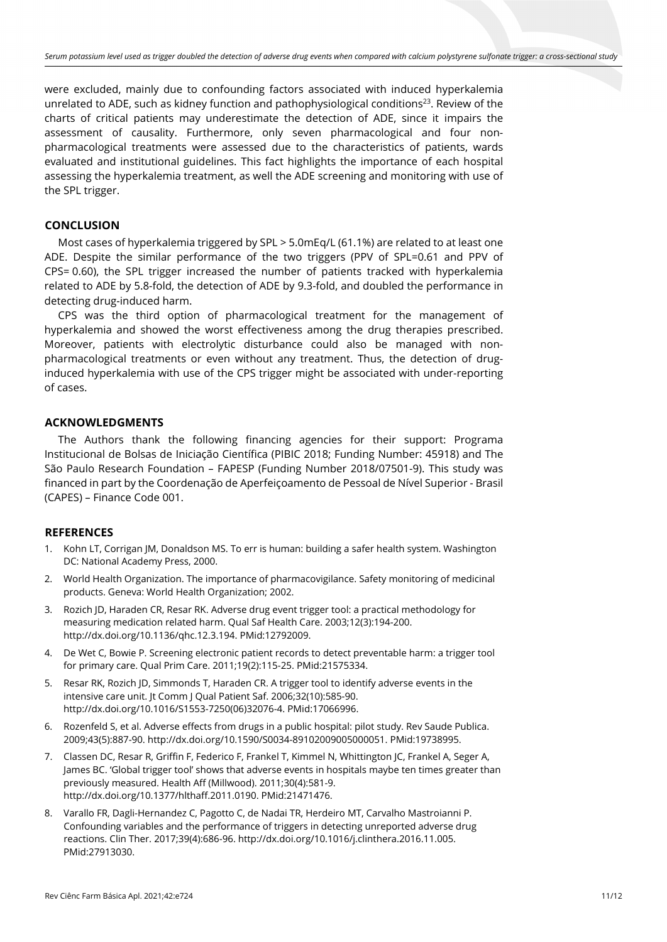were excluded, mainly due to confounding factors associated with induced hyperkalemia unrelated to ADE, such as kidney function and pathophysiological conditions<sup>23</sup>. Review of the charts of critical patients may underestimate the detection of ADE, since it impairs the assessment of causality. Furthermore, only seven pharmacological and four nonpharmacological treatments were assessed due to the characteristics of patients, wards evaluated and institutional guidelines. This fact highlights the importance of each hospital assessing the hyperkalemia treatment, as well the ADE screening and monitoring with use of the SPL trigger.

# **CONCLUSION**

Most cases of hyperkalemia triggered by SPL > 5.0mEq/L (61.1%) are related to at least one ADE. Despite the similar performance of the two triggers (PPV of SPL=0.61 and PPV of CPS= 0.60), the SPL trigger increased the number of patients tracked with hyperkalemia related to ADE by 5.8-fold, the detection of ADE by 9.3-fold, and doubled the performance in detecting drug-induced harm.

CPS was the third option of pharmacological treatment for the management of hyperkalemia and showed the worst effectiveness among the drug therapies prescribed. Moreover, patients with electrolytic disturbance could also be managed with nonpharmacological treatments or even without any treatment. Thus, the detection of druginduced hyperkalemia with use of the CPS trigger might be associated with under-reporting of cases.

## **ACKNOWLEDGMENTS**

The Authors thank the following financing agencies for their support: Programa Institucional de Bolsas de Iniciação Científica (PIBIC 2018; Funding Number: 45918) and The São Paulo Research Foundation – FAPESP (Funding Number 2018/07501-9). This study was financed in part by the Coordenação de Aperfeiçoamento de Pessoal de Nível Superior - Brasil (CAPES) – Finance Code 001.

## **REFERENCES**

- 1. Kohn LT, Corrigan JM, Donaldson MS. To err is human: building a safer health system. Washington DC: National Academy Press, 2000.
- 2. World Health Organization. The importance of pharmacovigilance. Safety monitoring of medicinal products. Geneva: World Health Organization; 2002.
- 3. Rozich JD, Haraden CR, Resar RK. Adverse drug event trigger tool: a practical methodology for measuring medication related harm. Qual Saf Health Care. 2003;12(3):194-200. [http://dx.doi.org/10.1136/qhc.12.3.194.](https://doi.org/10.1136/qhc.12.3.194) [PMid:12792009.](https://www.ncbi.nlm.nih.gov/entrez/query.fcgi?cmd=Retrieve&db=PubMed&list_uids=12792009&dopt=Abstract)
- 4. De Wet C, Bowie P. Screening electronic patient records to detect preventable harm: a trigger tool for primary care. Qual Prim Care. 2011;19(2):115-25. [PMid:21575334.](https://www.ncbi.nlm.nih.gov/entrez/query.fcgi?cmd=Retrieve&db=PubMed&list_uids=21575334&dopt=Abstract)
- 5. Resar RK, Rozich JD, Simmonds T, Haraden CR. A trigger tool to identify adverse events in the intensive care unit. Jt Comm J Qual Patient Saf. 2006;32(10):585-90. [http://dx.doi.org/10.1016/S1553-7250\(06\)32076-4.](https://doi.org/10.1016/S1553-7250(06)32076-4) [PMid:17066996.](https://www.ncbi.nlm.nih.gov/entrez/query.fcgi?cmd=Retrieve&db=PubMed&list_uids=17066996&dopt=Abstract)
- 6. Rozenfeld S, et al. Adverse effects from drugs in a public hospital: pilot study. Rev Saude Publica. 2009;43(5):887-90. [http://dx.doi.org/10.1590/S0034-89102009005000051.](https://doi.org/10.1590/S0034-89102009005000051) [PMid:19738995.](https://www.ncbi.nlm.nih.gov/entrez/query.fcgi?cmd=Retrieve&db=PubMed&list_uids=19738995&dopt=Abstract)
- 7. Classen DC, Resar R, Griffin F, Federico F, Frankel T, Kimmel N, Whittington JC, Frankel A, Seger A, James BC. 'Global trigger tool' shows that adverse events in hospitals maybe ten times greater than previously measured. Health Aff (Millwood). 2011;30(4):581-9. [http://dx.doi.org/10.1377/hlthaff.2011.0190.](https://doi.org/10.1377/hlthaff.2011.0190) [PMid:21471476.](https://www.ncbi.nlm.nih.gov/entrez/query.fcgi?cmd=Retrieve&db=PubMed&list_uids=21471476&dopt=Abstract)
- 8. Varallo FR, Dagli-Hernandez C, Pagotto C, de Nadai TR, Herdeiro MT, Carvalho Mastroianni P. Confounding variables and the performance of triggers in detecting unreported adverse drug reactions. Clin Ther. 2017;39(4):686-96[. http://dx.doi.org/10.1016/j.clinthera.2016.11.005.](https://doi.org/10.1016/j.clinthera.2016.11.005) [PMid:27913030.](https://www.ncbi.nlm.nih.gov/entrez/query.fcgi?cmd=Retrieve&db=PubMed&list_uids=27913030&dopt=Abstract)